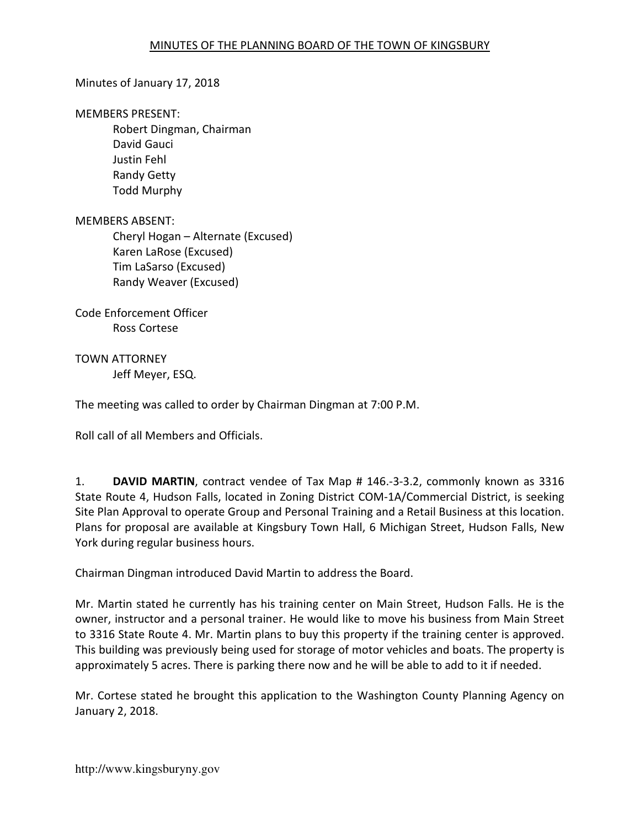# Minutes of January 17, 2018

#### MEMBERS PRESENT:

Robert Dingman, Chairman David Gauci Justin Fehl Randy Getty Todd Murphy

### MEMBERS ABSENT:

Cheryl Hogan – Alternate (Excused) Karen LaRose (Excused) Tim LaSarso (Excused) Randy Weaver (Excused)

Code Enforcement Officer Ross Cortese

# TOWN ATTORNEY

Jeff Meyer, ESQ.

The meeting was called to order by Chairman Dingman at 7:00 P.M.

Roll call of all Members and Officials.

1. DAVID MARTIN, contract vendee of Tax Map # 146.-3-3.2, commonly known as 3316 State Route 4, Hudson Falls, located in Zoning District COM-1A/Commercial District, is seeking Site Plan Approval to operate Group and Personal Training and a Retail Business at this location. Plans for proposal are available at Kingsbury Town Hall, 6 Michigan Street, Hudson Falls, New York during regular business hours.

Chairman Dingman introduced David Martin to address the Board.

Mr. Martin stated he currently has his training center on Main Street, Hudson Falls. He is the owner, instructor and a personal trainer. He would like to move his business from Main Street to 3316 State Route 4. Mr. Martin plans to buy this property if the training center is approved. This building was previously being used for storage of motor vehicles and boats. The property is approximately 5 acres. There is parking there now and he will be able to add to it if needed.

Mr. Cortese stated he brought this application to the Washington County Planning Agency on January 2, 2018.

http://www.kingsburyny.gov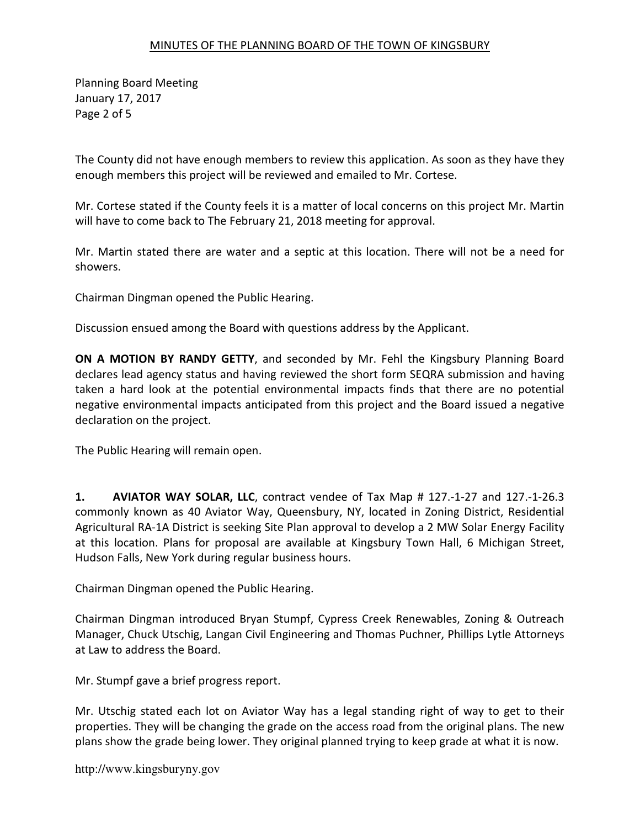Planning Board Meeting January 17, 2017 Page 2 of 5

The County did not have enough members to review this application. As soon as they have they enough members this project will be reviewed and emailed to Mr. Cortese.

Mr. Cortese stated if the County feels it is a matter of local concerns on this project Mr. Martin will have to come back to The February 21, 2018 meeting for approval.

Mr. Martin stated there are water and a septic at this location. There will not be a need for showers.

Chairman Dingman opened the Public Hearing.

Discussion ensued among the Board with questions address by the Applicant.

ON A MOTION BY RANDY GETTY, and seconded by Mr. Fehl the Kingsbury Planning Board declares lead agency status and having reviewed the short form SEQRA submission and having taken a hard look at the potential environmental impacts finds that there are no potential negative environmental impacts anticipated from this project and the Board issued a negative declaration on the project.

The Public Hearing will remain open.

1. AVIATOR WAY SOLAR, LLC, contract vendee of Tax Map # 127.-1-27 and 127.-1-26.3 commonly known as 40 Aviator Way, Queensbury, NY, located in Zoning District, Residential Agricultural RA-1A District is seeking Site Plan approval to develop a 2 MW Solar Energy Facility at this location. Plans for proposal are available at Kingsbury Town Hall, 6 Michigan Street, Hudson Falls, New York during regular business hours.

Chairman Dingman opened the Public Hearing.

Chairman Dingman introduced Bryan Stumpf, Cypress Creek Renewables, Zoning & Outreach Manager, Chuck Utschig, Langan Civil Engineering and Thomas Puchner, Phillips Lytle Attorneys at Law to address the Board.

Mr. Stumpf gave a brief progress report.

Mr. Utschig stated each lot on Aviator Way has a legal standing right of way to get to their properties. They will be changing the grade on the access road from the original plans. The new plans show the grade being lower. They original planned trying to keep grade at what it is now.

http://www.kingsburyny.gov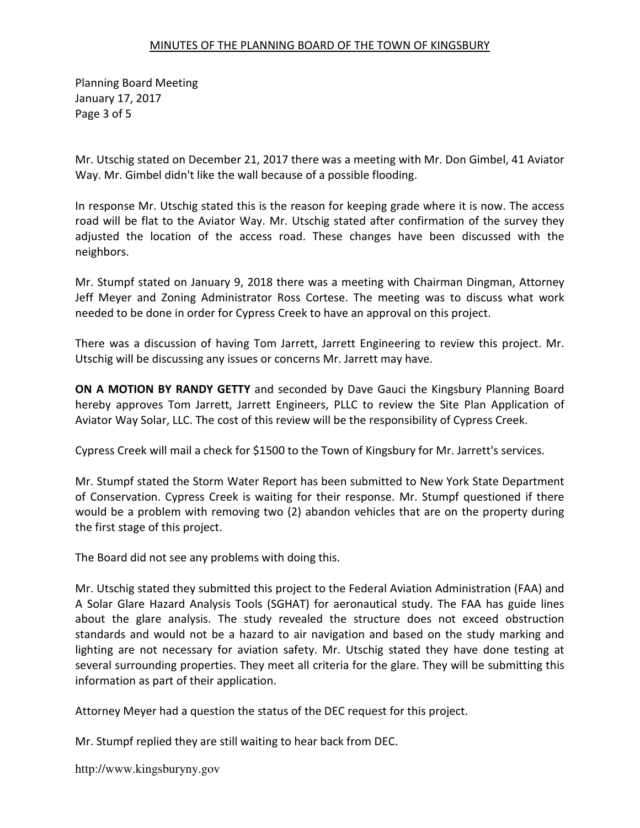Planning Board Meeting January 17, 2017 Page 3 of 5

Mr. Utschig stated on December 21, 2017 there was a meeting with Mr. Don Gimbel, 41 Aviator Way. Mr. Gimbel didn't like the wall because of a possible flooding.

In response Mr. Utschig stated this is the reason for keeping grade where it is now. The access road will be flat to the Aviator Way. Mr. Utschig stated after confirmation of the survey they adjusted the location of the access road. These changes have been discussed with the neighbors.

Mr. Stumpf stated on January 9, 2018 there was a meeting with Chairman Dingman, Attorney Jeff Meyer and Zoning Administrator Ross Cortese. The meeting was to discuss what work needed to be done in order for Cypress Creek to have an approval on this project.

There was a discussion of having Tom Jarrett, Jarrett Engineering to review this project. Mr. Utschig will be discussing any issues or concerns Mr. Jarrett may have.

ON A MOTION BY RANDY GETTY and seconded by Dave Gauci the Kingsbury Planning Board hereby approves Tom Jarrett, Jarrett Engineers, PLLC to review the Site Plan Application of Aviator Way Solar, LLC. The cost of this review will be the responsibility of Cypress Creek.

Cypress Creek will mail a check for \$1500 to the Town of Kingsbury for Mr. Jarrett's services.

Mr. Stumpf stated the Storm Water Report has been submitted to New York State Department of Conservation. Cypress Creek is waiting for their response. Mr. Stumpf questioned if there would be a problem with removing two (2) abandon vehicles that are on the property during the first stage of this project.

The Board did not see any problems with doing this.

Mr. Utschig stated they submitted this project to the Federal Aviation Administration (FAA) and A Solar Glare Hazard Analysis Tools (SGHAT) for aeronautical study. The FAA has guide lines about the glare analysis. The study revealed the structure does not exceed obstruction standards and would not be a hazard to air navigation and based on the study marking and lighting are not necessary for aviation safety. Mr. Utschig stated they have done testing at several surrounding properties. They meet all criteria for the glare. They will be submitting this information as part of their application.

Attorney Meyer had a question the status of the DEC request for this project.

Mr. Stumpf replied they are still waiting to hear back from DEC.

http://www.kingsburyny.gov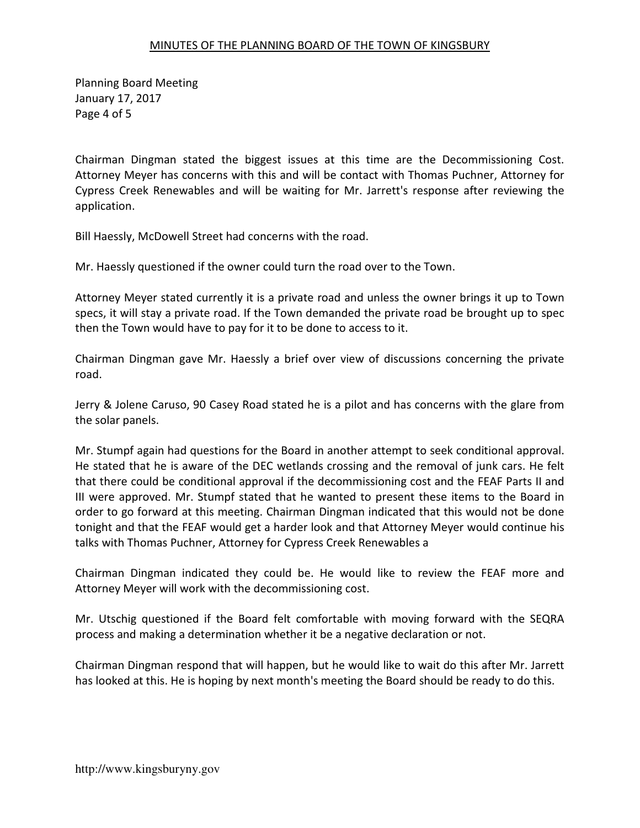Planning Board Meeting January 17, 2017 Page 4 of 5

Chairman Dingman stated the biggest issues at this time are the Decommissioning Cost. Attorney Meyer has concerns with this and will be contact with Thomas Puchner, Attorney for Cypress Creek Renewables and will be waiting for Mr. Jarrett's response after reviewing the application.

Bill Haessly, McDowell Street had concerns with the road.

Mr. Haessly questioned if the owner could turn the road over to the Town.

Attorney Meyer stated currently it is a private road and unless the owner brings it up to Town specs, it will stay a private road. If the Town demanded the private road be brought up to spec then the Town would have to pay for it to be done to access to it.

Chairman Dingman gave Mr. Haessly a brief over view of discussions concerning the private road.

Jerry & Jolene Caruso, 90 Casey Road stated he is a pilot and has concerns with the glare from the solar panels.

Mr. Stumpf again had questions for the Board in another attempt to seek conditional approval. He stated that he is aware of the DEC wetlands crossing and the removal of junk cars. He felt that there could be conditional approval if the decommissioning cost and the FEAF Parts II and III were approved. Mr. Stumpf stated that he wanted to present these items to the Board in order to go forward at this meeting. Chairman Dingman indicated that this would not be done tonight and that the FEAF would get a harder look and that Attorney Meyer would continue his talks with Thomas Puchner, Attorney for Cypress Creek Renewables a

Chairman Dingman indicated they could be. He would like to review the FEAF more and Attorney Meyer will work with the decommissioning cost.

Mr. Utschig questioned if the Board felt comfortable with moving forward with the SEQRA process and making a determination whether it be a negative declaration or not.

Chairman Dingman respond that will happen, but he would like to wait do this after Mr. Jarrett has looked at this. He is hoping by next month's meeting the Board should be ready to do this.